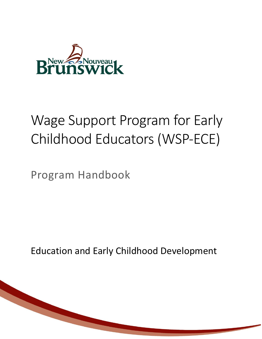

# Wage Support Program for Early Childhood Educators (WSP-ECE)

Program Handbook

Education and Early Childhood Development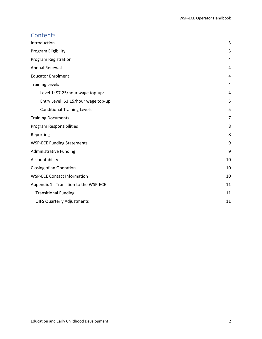## **Contents**

| Introduction                           | 3  |
|----------------------------------------|----|
| Program Eligibility                    | 3  |
| Program Registration                   | 4  |
| <b>Annual Renewal</b>                  | 4  |
| <b>Educator Enrolment</b>              | 4  |
| <b>Training Levels</b>                 | 4  |
| Level 1: \$7.25/hour wage top-up:      | 4  |
| Entry Level: \$3.15/hour wage top-up:  | 5  |
| <b>Conditional Training Levels</b>     | 5  |
| <b>Training Documents</b>              | 7  |
| Program Responsibilities               | 8  |
| Reporting                              | 8  |
| <b>WSP-ECE Funding Statements</b>      | 9  |
| <b>Administrative Funding</b>          | 9  |
| Accountability                         | 10 |
| Closing of an Operation                | 10 |
| <b>WSP-ECE Contact Information</b>     | 10 |
| Appendix 1 - Transition to the WSP-ECE | 11 |
| <b>Transitional Funding</b>            | 11 |
| <b>QIFS Quarterly Adjustments</b>      | 11 |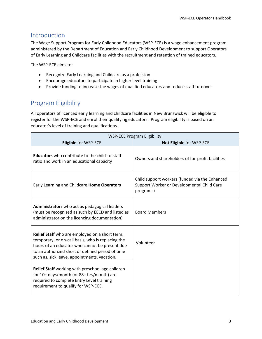## <span id="page-2-0"></span>Introduction

The Wage Support Program for Early Childhood Educators (WSP-ECE) is a wage enhancement program administered by the Department of Education and Early Childhood Development to support Operators of Early Learning and Childcare facilities with the recruitment and retention of trained educators.

The WSP-ECE aims to:

- Recognize Early Learning and Childcare as a profession
- Encourage educators to participate in higher level training
- Provide funding to increase the wages of qualified educators and reduce staff turnover

# <span id="page-2-1"></span>Program Eligibility

All operators of licenced early learning and childcare facilities in New Brunswick will be eligible to register for the WSP-ECE and enrol their qualifying educators. Program eligibility is based on an educator's level of training and qualifications.

| <b>WSP-ECE Program Eligibility</b>                                                                                                                                                                                                                        |                                                                                                           |  |
|-----------------------------------------------------------------------------------------------------------------------------------------------------------------------------------------------------------------------------------------------------------|-----------------------------------------------------------------------------------------------------------|--|
| <b>Eligible for WSP-ECE</b>                                                                                                                                                                                                                               | Not Eligible for WSP-ECE                                                                                  |  |
| <b>Educators</b> who contribute to the child-to-staff<br>ratio and work in an educational capacity                                                                                                                                                        | Owners and shareholders of for-profit facilities                                                          |  |
| Early Learning and Childcare Home Operators                                                                                                                                                                                                               | Child support workers (funded via the Enhanced<br>Support Worker or Developmental Child Care<br>programs) |  |
| Administrators who act as pedagogical leaders<br>(must be recognized as such by EECD and listed as<br>administrator on the licencing documentation)                                                                                                       | <b>Board Members</b>                                                                                      |  |
| Relief Staff who are employed on a short term,<br>temporary, or on-call basis, who is replacing the<br>hours of an educator who cannot be present due<br>to an authorized short or defined period of time<br>such as, sick leave, appointments, vacation. | Volunteer                                                                                                 |  |
| Relief Staff working with preschool age children<br>for 10+ days/month (or 88+ hrs/month) are<br>required to complete Entry Level training<br>requirement to qualify for WSP-ECE.                                                                         |                                                                                                           |  |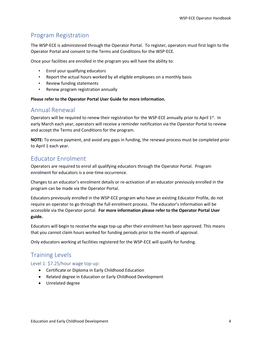# <span id="page-3-0"></span>Program Registration

The WSP-ECE is administered through the Operator Portal. To register, operators must first login to the Operator Portal and consent to the Terms and Conditions for the WSP-ECE.

Once your facilities are enrolled in the program you will have the ability to:

- Enrol your qualifying educators
- Report the actual hours worked by all eligible employees on a monthly basis
- Review funding statements
- Renew program registration annually

## **Please refer to the Operator Portal User Guide for more information.**

## <span id="page-3-1"></span>Annual Renewal

Operators will be required to renew their registration for the WSP-ECE annually prior to April 1<sup>st</sup>. In early March each year, operators will receive a reminder notification via the Operator Portal to review and accept the Terms and Conditions for the program.

**NOTE:** To ensure payment, and avoid any gaps in funding, the renewal process must be completed prior to April 1 each year.

# <span id="page-3-2"></span>Educator Enrolment

Operators are required to enrol all qualifying educators through the Operator Portal. Program enrolment for educators is a one-time occurrence.

Changes to an educator's enrolment details or re-activation of an educator previously enrolled in the program can be made via the Operator Portal.

Educators previously enrolled in the WSP-ECE program who have an existing Educator Profile, do not require an operator to go through the full enrolment process. The educator's information will be accessible via the Operator portal. **For more information please refer to the Operator Portal User guide.**

Educators will begin to receive the wage top-up after their enrolment has been approved. This means that you cannot claim hours worked for funding periods prior to the month of approval.

Only educators working at facilities registered for the WSP-ECE will qualify for funding.

## <span id="page-3-3"></span>Training Levels

<span id="page-3-4"></span>Level 1: \$7.25/hour wage top-up:

- Certificate or Diploma in Early Childhood Education
- Related degree in Education or Early Childhood Development
- Unrelated degree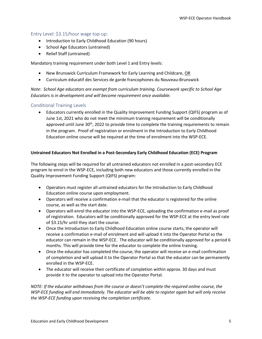## <span id="page-4-0"></span>Entry Level: \$3.15/hour wage top-up:

- Introduction to Early Childhood Education (90 hours)
- School Age Educators (untrained)
- Relief Staff (untrained)

Mandatory training requirement under both Level 1 and Entry levels:

- New Brunswick Curriculum Framework for Early Learning and Childcare, OR
- Curriculum éducatif des Services de garde francophones du Nouveau-Brunswick

*Note: School Age educators are exempt from curriculum training. Coursework specific to School Age Educators is in development and will become requirement once available.*

## <span id="page-4-1"></span>Conditional Training Levels

• Educators currently enrolled in the Quality Improvement Funding Support (QIFS) program as of June 1st, 2021 who do not meet the minimum training requirement will be conditionally approved until June 30<sup>th</sup>, 2022 to provide time to complete the training requirements to remain in the program. Proof of registration or enrolment in the Introduction to Early Childhood Education online course will be required at the time of enrolment into the WSP-ECE.

#### **Untrained Educators Not Enrolled in a Post-Secondary Early Childhood Education (ECE) Program**

The following steps will be required for all untrained educators not enrolled in a post-secondary ECE program to enrol in the WSP-ECE, including both new educators and those currently enrolled in the Quality Improvement Funding Support (QIFS) program:

- Operators must register all untrained educators for the Introduction to Early Childhood Education online course upon employment.
- Operators will receive a confirmation e-mail that the educator is registered for the online course, as well as the start date.
- Operators will enrol the educator into the WSP-ECE, uploading the confirmation e-mail as proof of registration. Educators will be conditionally approved for the WSP-ECE at the entry level rate of \$3.15/hr until they start the course.
- Once the Introduction to Early Childhood Education online course starts, the operator will receive a confirmation e-mail of enrolment and will upload it into the Operator Portal so the educator can remain in the WSP-ECE. The educator will be conditionally approved for a period 6 months. This will provide time for the educator to complete the online training.
- Once the educator has completed the course, the operator will receive an e-mail confirmation of completion and will upload it to the Operator Portal so that the educator can be permanently enrolled in the WSP-ECE.
- The educator will receive their certificate of completion within approx. 30 days and must provide it to the operator to upload into the Operator Portal.

*NOTE: If the educator withdraws from the course or doesn't complete the required online course, the WSP-ECE funding will end immediately. The educator will be able to register again but will only receive the WSP-ECE funding upon receiving the completion certificate.*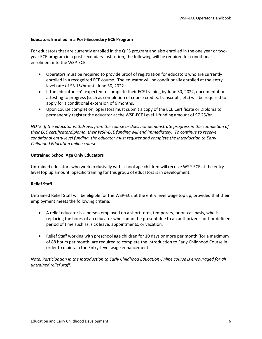#### **Educators Enrolled in a Post-Secondary ECE Program**

For educators that are currently enrolled in the QIFS program and also enrolled in the one year or twoyear ECE program in a post-secondary institution, the following will be required for conditional enrolment into the WSP-ECE:

- Operators must be required to provide proof of registration for educators who are currently enrolled in a recognized ECE course. The educator will be conditionally enrolled at the entry level rate of \$3.15/hr until June 30, 2022.
- If the educator isn't expected to complete their ECE training by June 30, 2022, documentation attesting to progress (such as completion of course credits, transcripts, etc) will be required to apply for a conditional extension of 6 months.
- Upon course completion, operators must submit a copy of the ECE Certificate or Diploma to permanently register the educator at the WSP-ECE Level 1 funding amount of \$7.25/hr.

*NOTE: If the educator withdraws from the course or does not demonstrate progress in the completion of their ECE certificate/diploma, their WSP-ECE funding will end immediately. To continue to receive conditional entry level funding, the educator must register and complete the Introduction to Early Childhood Education online course.* 

#### **Untrained School Age Only Educators**

Untrained educators who work exclusively with school age children will receive WSP-ECE at the entry level top up amount. Specific training for this group of educators is in development.

## **Relief Staff**

Untrained Relief Staff will be eligible for the WSP-ECE at the entry level wage top up, provided that their employment meets the following criteria:

- A relief educator is a person employed on a short term, temporary, or on-call basis, who is replacing the hours of an educator who cannot be present due to an authorized short or defined period of time such as, sick leave, appointments, or vacation.
- Relief Staff working with preschool age children for 10 days or more per month (for a maximum of 88 hours per month) are required to complete the Introduction to Early Childhood Course in order to maintain the Entry Level wage enhancement.

*Note: Participation in the Introduction to Early Childhood Education Online course is encouraged for all untrained relief staff.*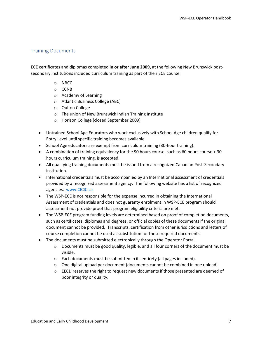## <span id="page-6-0"></span>Training Documents

ECE certificates and diplomas completed **in or after June 2009,** at the following New Brunswick postsecondary institutions included curriculum training as part of their ECE course:

- o NBCC
- o CCNB
- o Academy of Learning
- o Atlantic Business College (ABC)
- o Oulton College
- o The union of New Brunswick Indian Training Institute
- o Horizon College (closed September 2009)
- Untrained School Age Educators who work exclusively with School Age children qualify for Entry Level until specific training becomes available.
- School Age educators are exempt from curriculum training (30-hour training).
- A combination of training equivalency for the 90 hours course, such as 60 hours course + 30 hours curriculum training, is accepted.
- All qualifying training documents must be issued from a recognized Canadian Post-Secondary institution.
- International credentials must be accompanied by an International assessment of credentials provided by a recognized assessment agency. The following website has a list of recognized agencies: [www.CICIC.ca](http://www.cicic.ca/)
- The WSP-ECE is not responsible for the expense incurred in obtaining the International Assessment of credentials and does not guaranty enrolment in WSP-ECE program should assessment not provide proof that program eligibility criteria are met.
- The WSP-ECE program funding levels are determined based on proof of completion documents, such as certificates, diplomas and degrees, or official copies of these documents if the original document cannot be provided. Transcripts, certification from other jurisdictions and letters of course completion cannot be used as substitution for these required documents.
- The documents must be submitted electronically through the Operator Portal.
	- $\circ$  Documents must be good quality, legible, and all four corners of the document must be visible.
	- o Each documents must be submitted in its entirety (all pages included).
	- $\circ$  One digital upload per document (documents cannot be combined in one upload)
	- $\circ$  EECD reserves the right to request new documents if those presented are deemed of poor integrity or quality.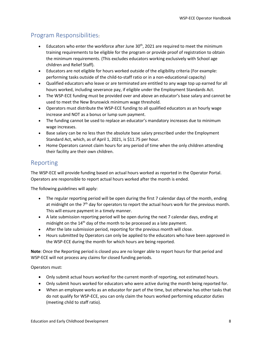# <span id="page-7-0"></span>Program Responsibilities:

- Educators who enter the workforce after June  $30<sup>th</sup>$ , 2021 are required to meet the minimum training requirements to be eligible for the program or provide proof of registration to obtain the minimum requirements. (This excludes educators working exclusively with School age children and Relief Staff).
- Educators are not eligible for hours worked outside of the eligibility criteria (For example: performing tasks outside of the child-to-staff ratio or in a non-educational capacity)
- Qualified educators who leave or are terminated are entitled to any wage top up earned for all hours worked, including severance pay, if eligible under the Employment Standards Act.
- The WSP-ECE funding must be provided over and above an educator's base salary and cannot be used to meet the New Brunswick minimum wage threshold.
- Operators must distribute the WSP-ECE funding to all qualified educators as an hourly wage increase and NOT as a bonus or lump sum payment.
- The funding cannot be used to replace an educator's mandatory increases due to minimum wage increases.
- Base salary can be no less than the absolute base salary prescribed under the Employment Standard Act, which, as of April 1, 2021, is \$11.75 per hour.
- Home Operators cannot claim hours for any period of time when the only children attending their facility are their own children.

# <span id="page-7-1"></span>Reporting

The WSP-ECE will provide funding based on actual hours worked as reported in the Operator Portal. Operators are responsible to report actual hours worked after the month is ended.

The following guidelines will apply:

- The regular reporting period will be open during the first 7 calendar days of the month, ending at midnight on the 7<sup>th</sup> day for operators to report the actual hours work for the previous month. This will ensure payment in a timely manner.
- A late submission reporting period will be open during the next 7 calendar days, ending at midnight on the  $14<sup>th</sup>$  day of the month to be processed as a late payment.
- After the late submission period, reporting for the previous month will close.
- Hours submitted by Operators can only be applied to the educators who have been approved in the WSP-ECE during the month for which hours are being reported.

**Note**: Once the Reporting period is closed you are no longer able to report hours for that period and WSP-ECE will not process any claims for closed funding periods.

Operators must:

- Only submit actual hours worked for the current month of reporting, not estimated hours.
- Only submit hours worked for educators who were active during the month being reported for.
- When an employee works as an educator for part of the time, but otherwise has other tasks that do not qualify for WSP-ECE, you can only claim the hours worked performing educator duties (meeting child to staff ratio).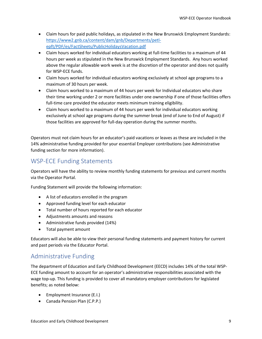- Claim hours for paid public holidays, as stipulated in the New Brunswick Employment Standards: [https://www2.gnb.ca/content/dam/gnb/Departments/petl](https://www2.gnb.ca/content/dam/gnb/Departments/petl-epft/PDF/es/FactSheets/PublicHolidaysVacation.pdf)[epft/PDF/es/FactSheets/PublicHolidaysVacation.pdf](https://www2.gnb.ca/content/dam/gnb/Departments/petl-epft/PDF/es/FactSheets/PublicHolidaysVacation.pdf)
- Claim hours worked for individual educators working at full-time facilities to a maximum of 44 hours per week as stipulated in the New Brunswick Employment Standards. Any hours worked above the regular allowable work week is at the discretion of the operator and does not qualify for WSP-ECE funds.
- Claim hours worked for individual educators working exclusively at school age programs to a maximum of 30 hours per week.
- Claim hours worked to a maximum of 44 hours per week for Individual educators who share their time working under 2 or more facilities under one ownership if one of those facilities offers full-time care provided the educator meets minimum training eligibility.
- Claim hours worked to a maximum of 44 hours per week for individual educators working exclusively at school age programs during the summer break (end of June to End of August) if those facilities are approved for full-day operation during the summer months.

Operators must not claim hours for an educator's paid vacations or leaves as these are included in the 14% administrative funding provided for your essential Employer contributions (see Administrative funding section for more information).

## <span id="page-8-0"></span>WSP-ECE Funding Statements

Operators will have the ability to review monthly funding statements for previous and current months via the Operator Portal.

Funding Statement will provide the following information:

- A list of educators enrolled in the program
- Approved funding level for each educator
- Total number of hours reported for each educator
- Adjustments amounts and reasons
- Administrative funds provided (14%)
- Total payment amount

Educators will also be able to view their personal funding statements and payment history for current and past periods via the Educator Portal.

## <span id="page-8-1"></span>Administrative Funding

The department of Education and Early Childhood Development (EECD) includes 14% of the total WSP-ECE funding amount to account for an operator's administrative responsibilities associated with the wage top-up. This funding is provided to cover all mandatory employer contributions for legislated benefits; as noted below:

- Employment Insurance (E.I.)
- Canada Pension Plan (C.P.P.)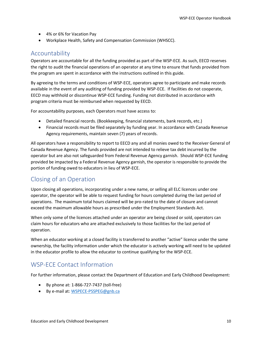- 4% or 6% for Vacation Pay
- Workplace Health, Safety and Compensation Commission (WHSCC).

## <span id="page-9-0"></span>Accountability

Operators are accountable for all the funding provided as part of the WSP-ECE. As such, EECD reserves the right to audit the financial operations of an operator at any time to ensure that funds provided from the program are spent in accordance with the instructions outlined in this guide.

By agreeing to the terms and conditions of WSP-ECE, operators agree to participate and make records available in the event of any auditing of funding provided by WSP-ECE. If facilities do not cooperate, EECD may withhold or discontinue WSP-ECE funding. Funding not distributed in accordance with program criteria must be reimbursed when requested by EECD.

For accountability purposes, each Operators must have access to:

- Detailed financial records. (Bookkeeping, financial statements, bank records, etc.)
- Financial records must be filed separately by funding year. In accordance with Canada Revenue Agency requirements, maintain seven (7) years of records.

All operators have a responsibility to report to EECD any and all monies owed to the Receiver General of Canada Revenue Agency. The funds provided are not intended to relieve tax debt incurred by the operator but are also not safeguarded from Federal Revenue Agency garnish. Should WSP-ECE funding provided be impacted by a Federal Revenue Agency garnish, the operator is responsible to provide the portion of funding owed to educators in lieu of WSP-ECE.

# <span id="page-9-1"></span>Closing of an Operation

Upon closing all operations, incorporating under a new name, or selling all ELC licences under one operator, the operator will be able to request funding for hours completed during the last period of operations. The maximum total hours claimed will be pro-rated to the date of closure and cannot exceed the maximum allowable hours as prescribed under the Employment Standards Act.

When only some of the licences attached under an operator are being closed or sold, operators can claim hours for educators who are attached exclusively to those facilities for the last period of operation.

When an educator working at a closed facility is transferred to another "active" licence under the same ownership, the facility information under which the educator is actively working will need to be updated in the educator profile to allow the educator to continue qualifying for the WSP-ECE.

# <span id="page-9-2"></span>WSP-ECE Contact Information

For further information, please contact the Department of Education and Early Childhood Development:

- By phone at: 1-866-727-7437 (toll-free)
- By e-mail at: [WSPECE-PSSPEG@gnb.ca](mailto:WSPECE-PSSPEG@gnb.ca)